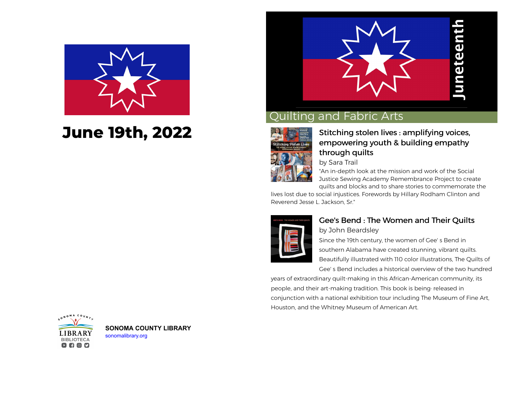

# **June 19th, 2022**



## Quilting and Fabric Arts



#### [Stitching stolen lives : amplifying voices,](https://libraryaware.com/2JG7C3) [empowering youth & building empathy](https://libraryaware.com/2JG7C3) [through quilts](https://libraryaware.com/2JG7C3)

by Sara Trail

"An in-depth look at the mission and work of the Social Justice Sewing Academy Remembrance Project to create quilts and blocks and to share stories to commemorate the

lives lost due to social injustices. Forewords by Hillary Rodham Clinton and Reverend Jesse L. Jackson, Sr."



#### [Gee's Bend : The Women and Their Quilts](https://libraryaware.com/2JG7C4) by John Beardsley

Since the 19th century, the women of Gee' s Bend in southern Alabama have created stunning, vibrant quilts. Beautifully illustrated with 110 color illustrations, The Quilts of Gee' s Bend includes a historical overview of the two hundred

years of extraordinary quilt-making in this African-American community, its people, and their art-making tradition. This book is being· released in conjunction with a national exhibition tour including The Museum of Fine Art, Houston, and the Whitney Museum of American Art.



**[S](https://libraryaware.com/2JG7C5)ONOMA COUNTY LIBRARY** [sonomalibrary.org](https://libraryaware.com/2JG7C5)